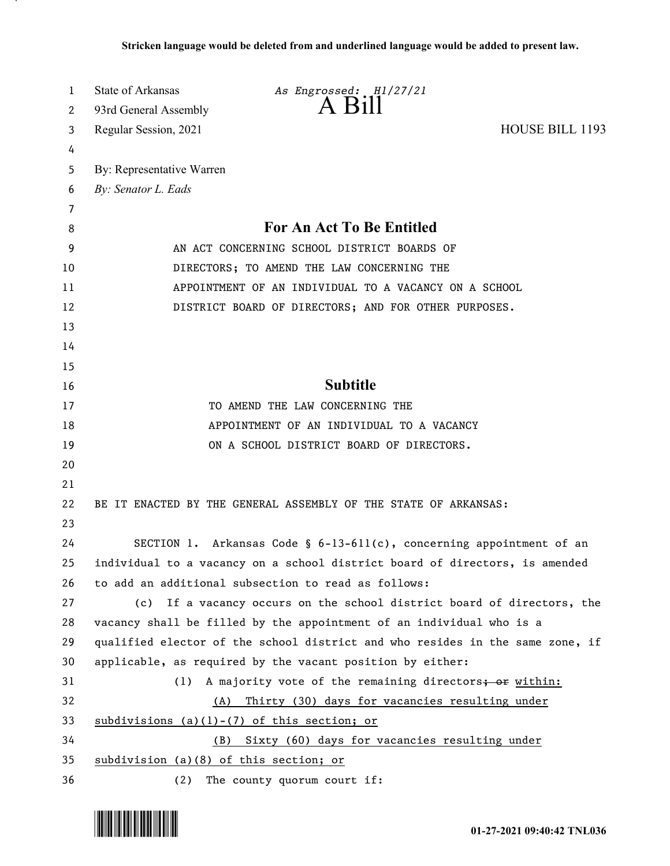| 1  | State of Arkansas                                     | As Engrossed: H1/27/21                                                        |                        |
|----|-------------------------------------------------------|-------------------------------------------------------------------------------|------------------------|
| 2  | 93rd General Assembly                                 | A Bill                                                                        |                        |
| 3  | Regular Session, 2021                                 |                                                                               | <b>HOUSE BILL 1193</b> |
| 4  |                                                       |                                                                               |                        |
| 5  | By: Representative Warren                             |                                                                               |                        |
| 6  | By: Senator L. Eads                                   |                                                                               |                        |
| 7  |                                                       |                                                                               |                        |
| 8  | <b>For An Act To Be Entitled</b>                      |                                                                               |                        |
| 9  | AN ACT CONCERNING SCHOOL DISTRICT BOARDS OF           |                                                                               |                        |
| 10 | DIRECTORS; TO AMEND THE LAW CONCERNING THE            |                                                                               |                        |
| 11 | APPOINTMENT OF AN INDIVIDUAL TO A VACANCY ON A SCHOOL |                                                                               |                        |
| 12 | DISTRICT BOARD OF DIRECTORS; AND FOR OTHER PURPOSES.  |                                                                               |                        |
| 13 |                                                       |                                                                               |                        |
| 14 |                                                       |                                                                               |                        |
| 15 |                                                       |                                                                               |                        |
| 16 |                                                       | <b>Subtitle</b>                                                               |                        |
| 17 |                                                       | TO AMEND THE LAW CONCERNING THE                                               |                        |
| 18 | APPOINTMENT OF AN INDIVIDUAL TO A VACANCY             |                                                                               |                        |
| 19 |                                                       | ON A SCHOOL DISTRICT BOARD OF DIRECTORS.                                      |                        |
| 20 |                                                       |                                                                               |                        |
| 21 |                                                       |                                                                               |                        |
| 22 |                                                       | BE IT ENACTED BY THE GENERAL ASSEMBLY OF THE STATE OF ARKANSAS:               |                        |
| 23 |                                                       |                                                                               |                        |
| 24 |                                                       | SECTION 1. Arkansas Code § $6-13-611(c)$ , concerning appointment of an       |                        |
| 25 |                                                       | individual to a vacancy on a school district board of directors, is amended   |                        |
| 26 |                                                       | to add an additional subsection to read as follows:                           |                        |
| 27 |                                                       | (c) If a vacancy occurs on the school district board of directors, the        |                        |
| 28 |                                                       | vacancy shall be filled by the appointment of an individual who is a          |                        |
| 29 |                                                       | qualified elector of the school district and who resides in the same zone, if |                        |
| 30 |                                                       | applicable, as required by the vacant position by either:                     |                        |
| 31 | (1)                                                   | A majority vote of the remaining directors; or within:                        |                        |
| 32 | (A)                                                   | Thirty (30) days for vacancies resulting under                                |                        |
| 33 |                                                       | subdivisions $(a)(1)-(7)$ of this section; or                                 |                        |
| 34 | (B)                                                   | Sixty (60) days for vacancies resulting under                                 |                        |
| 35 | subdivision (a)(8) of this section; or                |                                                                               |                        |
| 36 | (2)                                                   | The county quorum court if:                                                   |                        |